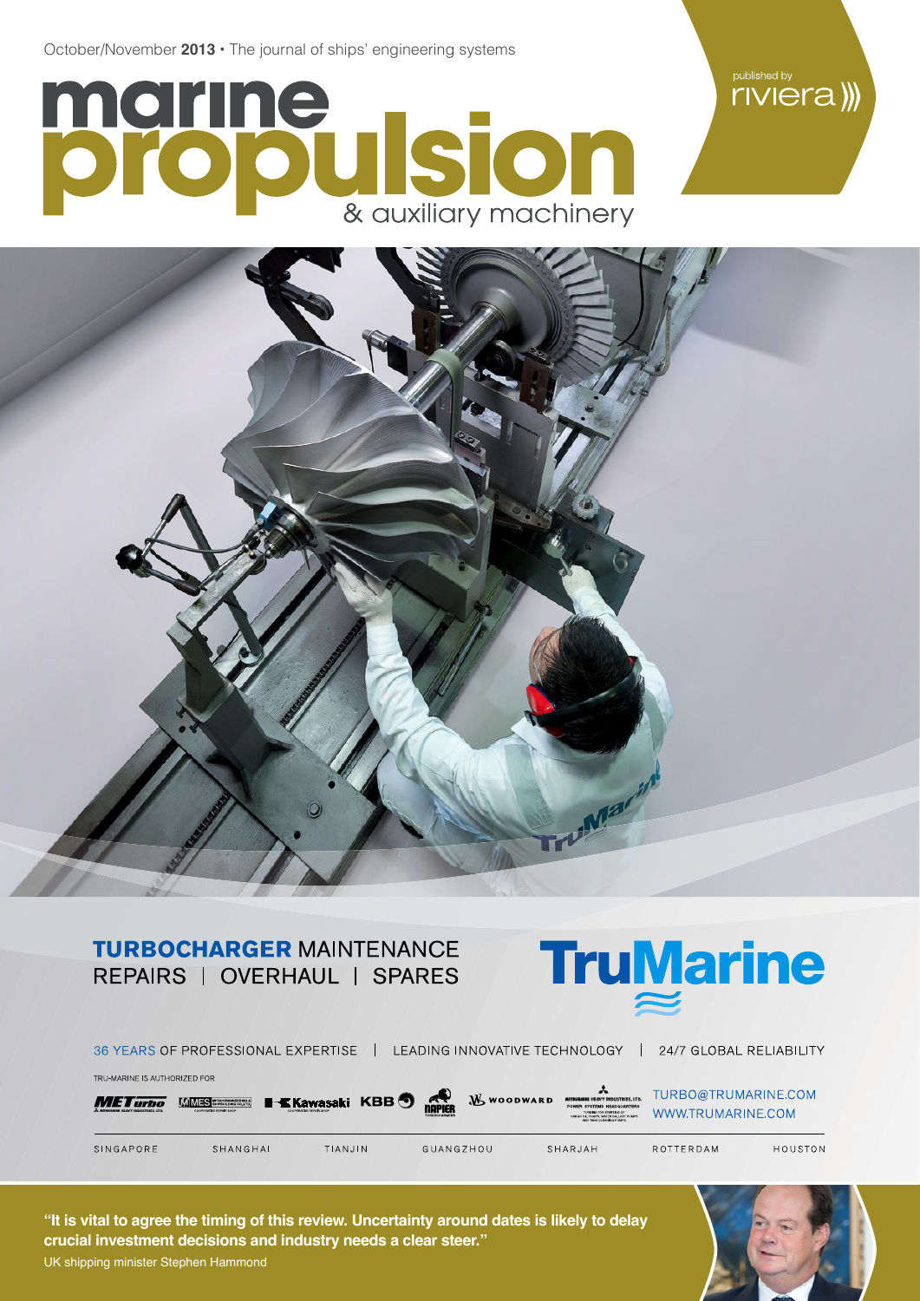October/November **2013 •** The journal of ships' engineering systems

## marine **SCOOL**



## **TURBOCHARGER MAINTENANCE** REPAIRS | OVERHAUL | SPARES



|                                                                                       | 36 YEARS OF PROFESSIONAL EXPERTISE         |                                                    | LEADING INNOVATIVE TECHNOLOGY                               |                                                                                                                                                                      | 24/7 GLOBAL RELIABILITY                  |         |
|---------------------------------------------------------------------------------------|--------------------------------------------|----------------------------------------------------|-------------------------------------------------------------|----------------------------------------------------------------------------------------------------------------------------------------------------------------------|------------------------------------------|---------|
| TRU-MARINE IS AUTHORIZED FOR<br><b>METurbo</b><br>A MITRURIRHI HEAVY INDUSTRIES, LTD. | M MES STRANGERS<br>COOPERATIVE REPAIR SHOP | <b>I-KKawasaki KBB</b> .<br>COOPERATUR REPAIR SHOP | <b>THE PRE</b><br><b>W</b> WOODWARD<br><b>TURROCHARGERS</b> | A<br>MITSUBISHI HEAVY INDUSTRIES, LTD.<br>POWER SYSTEMS HEADQUARTERS<br>TURBINE FOR STARTING UP<br>CARGO OIL PUMPS, WATER BALLAST PUMPS.<br>AND TANK CLEANING PUMPS. | TURBO@TRUMARINE.COM<br>WWW.TRUMARINE.COM |         |
| SINGAPORE                                                                             | SHANGHAI                                   | TIAN.JIN                                           | GUANGZHOU                                                   | SHARJAH                                                                                                                                                              | ROTTERDAM                                | HOUSTON |

**"It is vital to agree the timing of this review. Uncertainty around dates is likely to delay crucial investment decisions and industry needs a clear steer."** UK shipping minister Stephen Hammond



riviera))